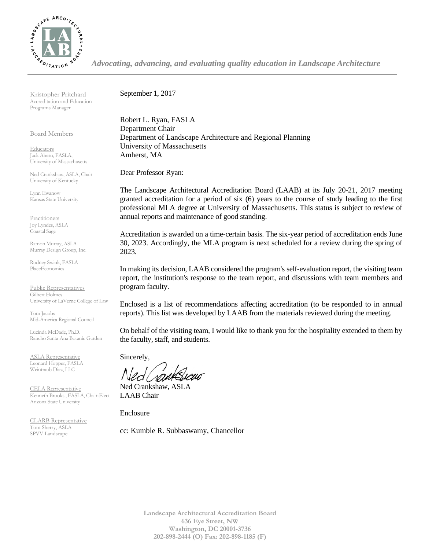

*Advocating, advancing, and evaluating quality education in Landscape Architecture*

Kristopher Pritchard Accreditation and Education Programs Manager

Board Members

**Educators** Jack Ahern, FASLA, University of Massachusetts

Ned Crankshaw, ASLA, Chair University of Kentucky

Lynn Ewanow Kansas State University

**Practitioners** Joy Lyndes, ASLA Coastal Sage

Ramon Murray, ASLA Murray Design Group, Inc.

Rodney Swink, FASLA PlaceEconomics

Public Representatives Gilbert Holmes University of LaVerne College of Law

Tom Jacobs Mid-America Regional Council

Lucinda McDade, Ph.D. Rancho Santa Ana Botanic Garden

ASLA Representative Leonard Hopper, FASLA Weintraub Diaz, LLC

CELA Representative Kenneth Brooks., FASLA, Chair-Elect Arizona State University

CLARB Representative Tom Sherry, ASLA SPVV Landscape

September 1, 2017

Robert L. Ryan, FASLA Department Chair Department of Landscape Architecture and Regional Planning University of Massachusetts Amherst, MA

Dear Professor Ryan:

The Landscape Architectural Accreditation Board (LAAB) at its July 20-21, 2017 meeting granted accreditation for a period of six (6) years to the course of study leading to the first professional MLA degree at University of Massachusetts. This status is subject to review of annual reports and maintenance of good standing.

Accreditation is awarded on a time-certain basis. The six-year period of accreditation ends June 30, 2023. Accordingly, the MLA program is next scheduled for a review during the spring of 2023.

In making its decision, LAAB considered the program's self-evaluation report, the visiting team report, the institution's response to the team report, and discussions with team members and program faculty.

Enclosed is a list of recommendations affecting accreditation (to be responded to in annual reports). This list was developed by LAAB from the materials reviewed during the meeting.

On behalf of the visiting team, I would like to thank you for the hospitality extended to them by the faculty, staff, and students.

Sincerely,

Ned Crankshaw, ASLA LAAB Chair

Enclosure

cc: Kumble R. Subbaswamy, Chancellor